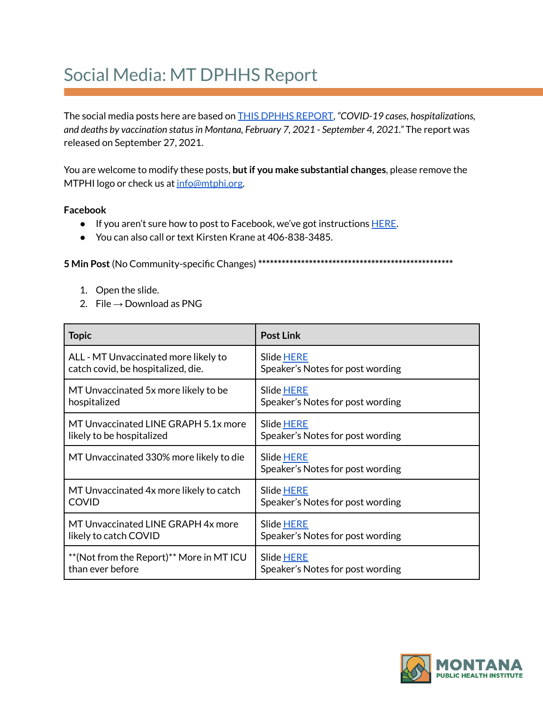## Social Media: MT DPHHS Report

The social media posts here are based on THIS DPHHS [REPORT](https://dphhs.mt.gov/assets/publichealth/CDEpi/DiseasesAtoZ/2019-nCoV/Reports/MontanaBreakthroughreport_FINAL_9.24.21.pdf), *"COVID-19 cases, hospitalizations, and deaths by vaccination statusin Montana, February 7, 2021 - September 4, 2021."* The report was released on September 27, 2021.

You are welcome to modify these posts, **butif you make substantial changes**, please remove the MTPHI logo or check us at [info@mtphi.org.](mailto:info@mtphi.org)

## **Facebook**

- If you aren't sure how to post to Facebook, we've got instructions [HERE](https://docs.google.com/document/d/1lPT5OlsdAcd5UzGaS0B-kcM4cndZhiOHd2b7c3r7f5Q/edit?usp=sharing).
- You can also call or text Kirsten Krane at 406-838-3485.

**5 Min Post**(No Community-specific Changes) **\*\*\*\*\*\*\*\*\*\*\*\*\*\*\*\*\*\*\*\*\*\*\*\*\*\*\*\*\*\*\*\*\*\*\*\*\*\*\*\*\*\*\*\*\*\*\*\*\*\***

- 1. Open the slide.
- 2. File  $\rightarrow$  Download as PNG

| <b>Topic</b>                             | <b>Post Link</b>                               |
|------------------------------------------|------------------------------------------------|
| ALL - MT Unvaccinated more likely to     | Slide HERE                                     |
| catch covid, be hospitalized, die.       | Speaker's Notes for post wording               |
| MT Unvaccinated 5x more likely to be     | Slide HERE                                     |
| hospitalized                             | Speaker's Notes for post wording               |
| MT Unvaccinated LINE GRAPH 5.1x more     | Slide HERE                                     |
| likely to be hospitalized                | Speaker's Notes for post wording               |
| MT Unvaccinated 330% more likely to die  | Slide HERE<br>Speaker's Notes for post wording |
| MT Unvaccinated 4x more likely to catch  | Slide HERE                                     |
| <b>COVID</b>                             | Speaker's Notes for post wording               |
| MT Unvaccinated LINE GRAPH 4x more       | Slide HERE                                     |
| likely to catch COVID                    | Speaker's Notes for post wording               |
| **(Not from the Report)** More in MT ICU | Slide HERE                                     |
| than ever before                         | Speaker's Notes for post wording               |